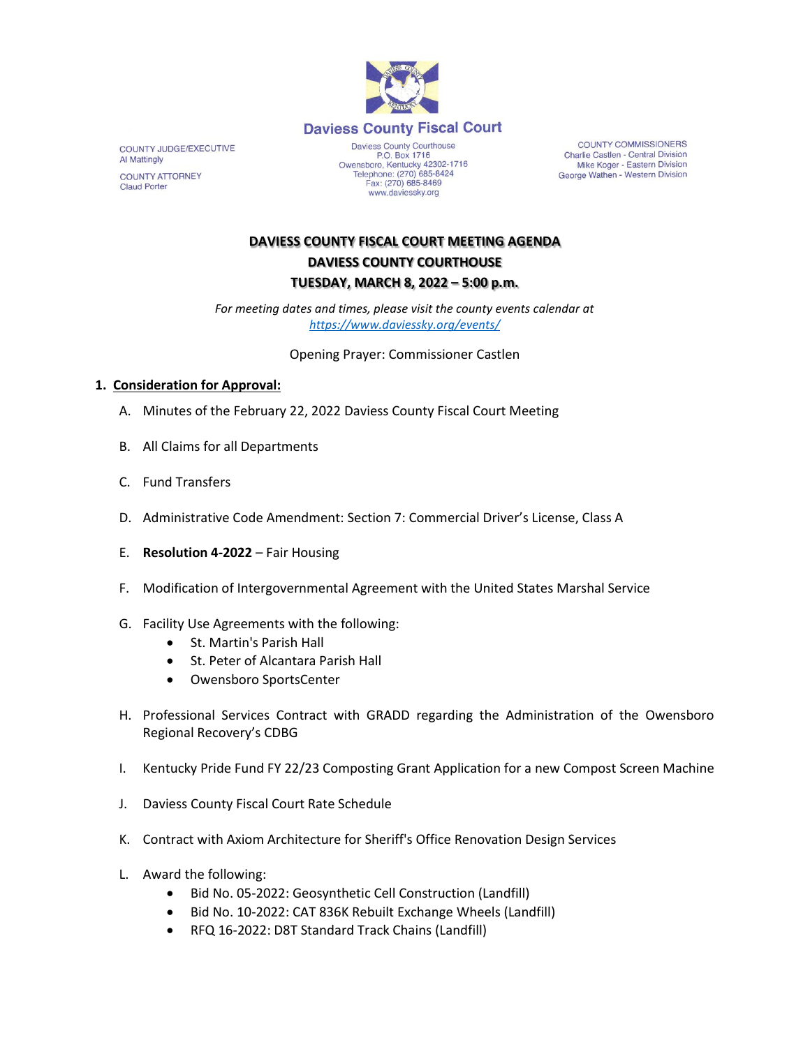

COUNTY JUDGE/EXECUTIVE Al Mattingly **COUNTY ATTORNEY Claud Porter** 

Daviess County Courthouse P.O. Box 1716<br>Owensboro, Kentucky 42302-1716<br>Telephone: (270) 685-8424 Fax: (270) 685-8469 www.daviessky.org

**COUNTY COMMISSIONERS** Charlie Castlen - Central Division Mike Koger - Eastern Division George Wathen - Western Division

## **DAVIESS COUNTY FISCAL COURT MEETING AGENDA DAVIESS COUNTY COURTHOUSE TUESDAY, MARCH 8, 2022 – 5:00 p.m.**

*For meeting dates and times, please visit the county events calendar at <https://www.daviessky.org/events/>*

Opening Prayer: Commissioner Castlen

## **1. Consideration for Approval:**

- A. Minutes of the February 22, 2022 Daviess County Fiscal Court Meeting
- B. All Claims for all Departments
- C. Fund Transfers
- D. Administrative Code Amendment: Section 7: Commercial Driver's License, Class A
- E. **Resolution 4-2022** Fair Housing
- F. Modification of Intergovernmental Agreement with the United States Marshal Service
- G. Facility Use Agreements with the following:
	- St. Martin's Parish Hall
	- St. Peter of Alcantara Parish Hall
	- Owensboro SportsCenter
- H. Professional Services Contract with GRADD regarding the Administration of the Owensboro Regional Recovery's CDBG
- I. Kentucky Pride Fund FY 22/23 Composting Grant Application for a new Compost Screen Machine
- J. Daviess County Fiscal Court Rate Schedule
- K. Contract with Axiom Architecture for Sheriff's Office Renovation Design Services
- L. Award the following:
	- Bid No. 05-2022: Geosynthetic Cell Construction (Landfill)
	- Bid No. 10-2022: CAT 836K Rebuilt Exchange Wheels (Landfill)
	- RFQ 16-2022: D8T Standard Track Chains (Landfill)